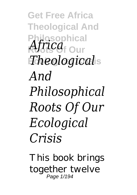**Get Free Africa Theological And Philosophical** *Africa* <sub>Our</sub> **Ecological Crisis** *Theological And Philosophical Roots Of Our Ecological Crisis*

This book brings together twelve Page 1/194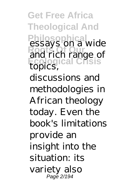**Get Free Africa Theological And Philosophical** essays on a wide **Roots Of Our** and rich range of **Ecological Crisis** topics, discussions and methodologies in African theology today. Even the book's limitations provide an insight into the situation: its variety also Page 2/194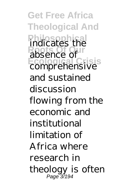**Get Free Africa Theological And Philosophical** indicates the **Roots Of Our** absence of **Ecological Crisis** comprehensive and sustained discussion flowing from the economic and institutional limitation of Africa where research in theology is often Page 3/194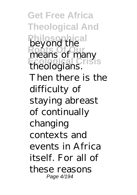**Get Free Africa Theological And Philosophical** beyond the **Roots Of Our** means of many **Ecological Crisis** theologians. Then there is the difficulty of staying abreast of continually changing contexts and events in Africa itself. For all of these reasons Page 4/194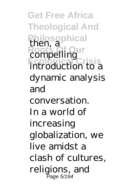**Get Free Africa Theological And Philosophical** then, a **Roots Of Our** compelling **Ecological Crisis** introduction to a dynamic analysis and conversation. In a world of increasing globalization, we live amidst a clash of cultures, religions, and Page 5/194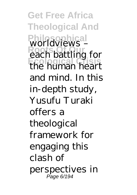**Get Free Africa Theological And Philosophical** worldviews – **Roots Of Our** each battling for **Ecological Crisis** the human heart and mind. In this in-depth study, Yusufu Turaki offers a theological framework for engaging this clash of perspectives in Page 6/194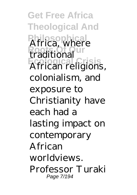**Get Free Africa Theological And Philosophical** Africa, where **Roots Of Our** traditional **Ecological Crisis** African religions, colonialism, and exposure to Christianity have each had a lasting impact on contemporary African worldviews. Professor Turaki Page 7/194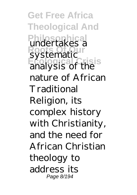**Get Free Africa Theological And Philosophica**<br>undertakes a **Roof** City Constants Construction **Ecological Crisis** analysis of the nature of African Traditional Religion, its complex history with Christianity, and the need for African Christian theology to address its Page 8/194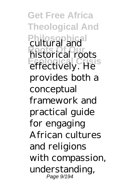**Get Free Africa Theological And Philosophical** cultural and **Roots Of Our** historical roots **Ecological Crisis** effectively. He provides both a conceptual framework and practical guide for engaging African cultures and religions with compassion, understanding, Page 9/194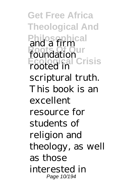**Get Free Africa Theological And Philosophical** and a firm **Roots Of Our** foundation **Ecological Crisis** rooted in scriptural truth. This book is an excellent resource for students of religion and theology, as well as those interested in Page 10/194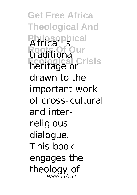**Get Free Africa Theological And Philosophical Roots** Our **Ecological Crisis** heritage or drawn to the important work of cross-cultural and interreligious dialogue. This book engages the theology of Page 11/194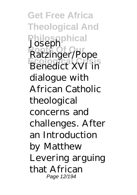**Get Free Africa Theological And Philosophical** Joseph **Roots Of Our** Ratzinger/Pope **Ecological Crisis** Benedict XVI in dialogue with African Catholic theological concerns and challenges. After an Introduction by Matthew Levering arguing that African Page 12/194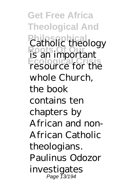**Get Free Africa Theological And Philosophical** Catholic theology **Roots Of Our** is an important **Ecological Crisis** resource for the whole Church, the book contains ten chapters by African and non-African Catholic theologians. Paulinus Odozor investigates Page 13/194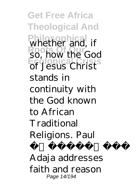**Get Free Africa Theological And Philosophical** whether and, if **Roots Of Our** so, how the God **Ecological Crisis** of Jesus Christ stands in continuity with the God known to African **Traditional** Religions. Paul latub sun Adaja addresses faith and reason Page 14/194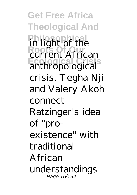**Get Free Africa Theological And Philosophical** in light of the **Roots Of Our** current African **Ecological Crisis** anthropological crisis. Tegha Nji and Valery Akoh connect Ratzinger's idea of "proexistence" with traditional African understandings Page 15/194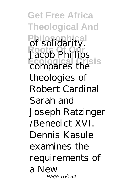**Get Free Africa Theological And Philosophical** of solidarity. **Roots Of Our** Jacob Phillips **Ecological Crisis** compares the theologies of Robert Cardinal Sarah and Joseph Ratzinger /Benedict XVI. Dennis Kasule examines the requirements of a New Page 16/194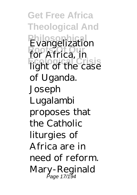**Get Free Africa Theological And Philosophical** Evangelization **Roots Of Our** for Africa, in **Ecological Crisis** light of the case of Uganda. Joseph Lugalambi proposes that the Catholic liturgies of Africa are in need of reform. Mary-Reginald Page 17/194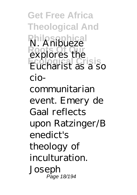**Get Free Africa Theological And Philosophical** N. Anibueze **Roots Of Our** explores the **Ecological Crisis** Eucharist as a so ciocommunitarian event. Emery de Gaal reflects upon Ratzinger/B enedict's theology of inculturation. Joseph Page 18/194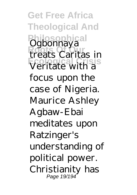**Get Free Africa Theological And** Philosophical<br>Ogbonnaya **Roots Of Our** treats Caritas in **Ecological Crisis** Veritate with a focus upon the case of Nigeria. Maurice Ashley Agbaw-Ebai meditates upon Ratzinger's understanding of political power. Christianity has Page 19/194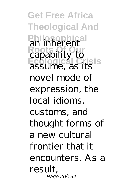**Get Free Africa Theological And Philosophical** an inherent **Roots Of Our** capability to **Ecological Crisis** assume, as its novel mode of expression, the local idioms, customs, and thought forms of a new cultural frontier that it encounters. As a result, Page 20/194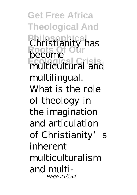**Get Free Africa Theological And Philosophical** Christianity has **Roots Of Our** become **Ecological Crisis** multicultural and multilingual. What is the role of theology in the imagination and articulation of Christianity's inherent multiculturalism and multi-Page 21/194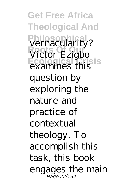**Get Free Africa Theological And** Philosophica<br>vernacularity? **Victor Ezigbo Ecological Crisis** examines this question by exploring the nature and practice of contextual theology. To accomplish this task, this book engages the main Page 22/194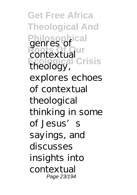**Get Free Africa Theological And Philosophical** genres of **Roots** Contextual **Ecological Crisis** theology, explores echoes of contextual theological thinking in some of Jesus's sayings, and discusses insights into contextual Page 23/194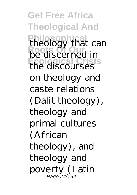**Get Free Africa Theological And Philosophical** theology that can **Roots Of Our** be discerned in **Ecological Crisis** the discourses on theology and caste relations (Dalit theology), theology and primal cultures (African theology), and theology and poverty (Latin Page 24/194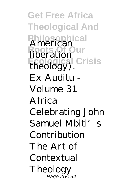**Get Free Africa Theological And Philosophical** American **Roots Of Our** liberation **Ecological Crisis** theology). Ex Auditu - Volume 31 Africa Celebrating John Samuel Mbiti's Contribution The Art of Contextual Theology Page 25/194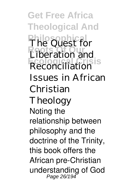**Get Free Africa Theological And Philosophical** The Quest for **Roots Of Our** Liberation and **Ecological Crisis** Reconciliation Issues in African Christian Theology Noting the relationship between philosophy and the doctrine of the Trinity, this book offers the African pre-Christian understanding of God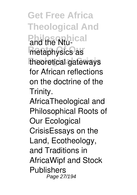**Get Free Africa Theological And Philosophical** and the Ntu-*<u>Roothysics</u>* as **Ecological Crisis** theoretical gateways for African reflections on the doctrine of the Trinity.

AfricaTheological and Philosophical Roots of Our Ecological CrisisEssays on the Land, Ecotheology, and Traditions in AfricaWipf and Stock **Publishers** Page 27/194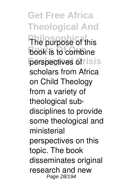**Get Free Africa Theological And The purpose of this book** is to combine **perspectives of risis** scholars from Africa on Child Theology from a variety of theological subdisciplines to provide some theological and ministerial perspectives on this topic. The book disseminates original research and new Page 28/194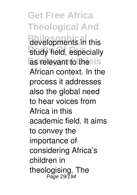**Get Free Africa Theological And Philosophients** in this **Rtudy field, especially Ecological Crisis** as relevant to the African context. In the process it addresses also the global need to hear voices from Africa in this academic field. It aims to convey the importance of considering Africa's children in theologising. The Page 29/194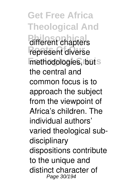**Get Free Africa Theological And Philosophical** represent diverse methodologies, but s the central and common focus is to approach the subject from the viewpoint of Africa's children. The individual authors' varied theological subdisciplinary dispositions contribute to the unique and distinct character of Page 30/194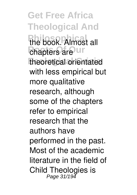**Get Free Africa Theological And** the book. Almost all *<u>Chapters</u>* are **Ur Ecological Crisis** theoretical orientated with less empirical but more qualitative research, although some of the chapters refer to empirical research that the authors have performed in the past. Most of the academic literature in the field of Child Theologies is Page 31/194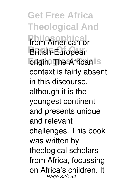**Get Free Africa Theological And From American or British-European Ecological The African** is context is fairly absent in this discourse, although it is the youngest continent and presents unique and relevant challenges. This book was written by theological scholars from Africa, focussing on Africa's children. It Page 32/194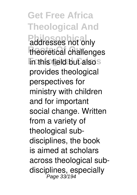**Get Free Africa Theological And Philosophical** theoretical challenges **In this field but alsos** provides theological perspectives for ministry with children and for important social change. Written from a variety of theological subdisciplines, the book is aimed at scholars across theological subdisciplines, especially<br>Page 33/194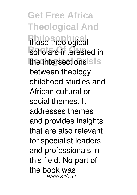**Get Free Africa Theological And** those theological **Roholars interested in the intersections** is is between theology, childhood studies and African cultural or social themes. It addresses themes and provides insights that are also relevant for specialist leaders and professionals in this field. No part of the book was Page 34/194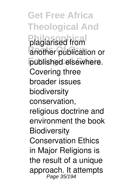**Get Free Africa Theological And Philosophical** plagiarised from **Another publication or Ecological Crisis** published elsewhere. Covering three broader issues biodiversity conservation, religious doctrine and environment the book **Biodiversity** Conservation Ethics in Major Religions is the result of a unique approach. It attempts Page 35/194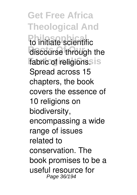**Get Free Africa Theological And Philosophical**<br>
to initiate scientific discourse through the fabric of religions.s is Spread across 15 chapters, the book covers the essence of 10 religions on biodiversity, encompassing a wide range of issues related to conservation. The book promises to be a useful resource for Page 36/194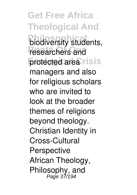**Get Free Africa Theological And** *<u>biodiversity</u>* students, researchers and **protected area**risis managers and also for religious scholars who are invited to look at the broader themes of religions beyond theology. Christian Identity in Cross-Cultural **Perspective** African Theology, Philosophy, and Page 37/194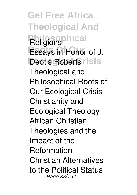**Get Free Africa Theological And Religions Essays in Honor of J. Deotis Roberts risis** Theological and Philosophical Roots of Our Ecological Crisis Christianity and Ecological Theology African Christian Theologies and the Impact of the Reformation Christian Alternatives to the Political Status Page 38/194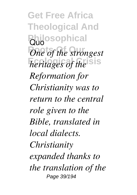**Get Free Africa Theological And Philosophical** *One of the strongest heritages of the* sis *Reformation for Christianity was to return to the central role given to the Bible, translated in local dialects. Christianity expanded thanks to the translation of the* Page 39/194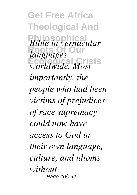**Get Free Africa Theological And Philosophical** *Bible in vernacular* **Roots Of Our** *languages* **Ecological Crisis** *worldwide. Most importantly, the people who had been victims of prejudices of race supremacy could now have access to God in their own language, culture, and idioms without* Page 40/194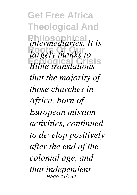**Get Free Africa Theological And**  $P$ *intermediaries. It is* **Roots Of Our** *largely thanks to* **Ecological Crisis** *Bible translations that the majority of those churches in Africa, born of European mission activities, continued to develop positively after the end of the colonial age, and that independent* Page 41/194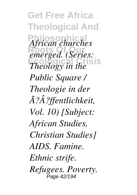**Get Free Africa Theological And Philosophical** *African churches* **Roots Of Our** *emerged. (Series: Energy in the* sis *Public Square / Theologie in der Ã?Â?ffentlichkeit, Vol. 10) [Subject: African Studies, Christian Studies] AIDS. Famine. Ethnic strife. Refugees. Poverty.* Page 42/194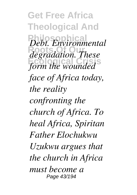**Get Free Africa Theological And**  $Debt$ *. Environmental* **Roots Of Our** *degradation. These* **Ecological Crisis** *form the wounded face of Africa today, the reality confronting the church of Africa. To heal Africa, Spiritan Father Elochukwu Uzukwu argues that the church in Africa must become a* Page 43/194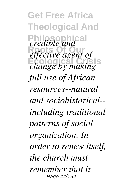**Get Free Africa Theological And** *credible and*<sup>al</sup> effective agent of **Ecological Crisis** *change by making full use of African resources--natural and sociohistorical- including traditional patterns of social organization. In order to renew itself, the church must remember that it* Page 44/194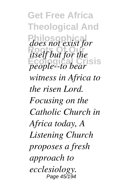**Get Free Africa Theological And Philosophical** *does not exist for* **Roots Of Our** *itself but for the* **Ecological Crisis** *people--to bear witness in Africa to the risen Lord. Focusing on the Catholic Church in Africa today, A Listening Church proposes a fresh approach to ecclesiology.* Page 45/194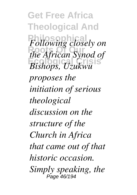**Get Free Africa Theological And**  $F$ ollowing closely on **Roots Of Our** *the African Synod of* **Ecological Crisis** *Bishops, Uzukwu proposes the initiation of serious theological discussion on the structure of the Church in Africa that came out of that historic occasion. Simply speaking, the* Page 46/194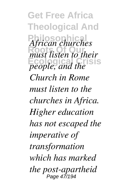**Get Free Africa Theological And Philosophical** *African churches Roots Chaircing* **Example, and the** *Church in Rome must listen to the churches in Africa. Higher education has not escaped the imperative of transformation which has marked the post-apartheid* Page 47/194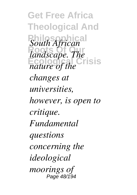**Get Free Africa Theological And**  $South African<sup>2</sup>$ **Roots Of Our** *landscape. The* **Ecological Crisis** *nature of the changes at universities, however, is open to critique. Fundamental questions concerning the ideological moorings of* Page 48/194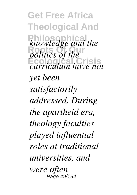**Get Free Africa Theological And Philosophical** *knowledge and the politics of the* **Ecological Crisis** *curriculum have not yet been satisfactorily addressed. During the apartheid era, theology faculties played influential roles at traditional universities, and were often* Page 49/194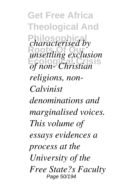**Get Free Africa Theological And Philosophical** *characterised by* **Roots Of Our** *unsettling exclusion* **Ecological Crisis** *of non- Christian religions, non-Calvinist denominations and marginalised voices. This volume of essays evidences a process at the University of the Free State?s Faculty* Page 50/194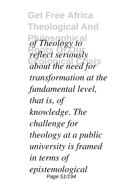**Get Free Africa Theological And Philosophical** *of Theology to reflect seriously* **Ecological Crisis** *about the need for transformation at the fundamental level, that is, of knowledge. The challenge for theology at a public university is framed in terms of epistemological* Page 51/194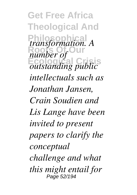**Get Free Africa Theological And** *transformation. A* **Roots Of Our** *number of* **Ecological Crisis** *outstanding public intellectuals such as Jonathan Jansen, Crain Soudien and Lis Lange have been invited to present papers to clarify the conceptual challenge and what this might entail for* Page 52/194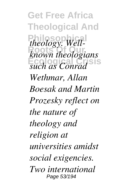**Get Free Africa Theological And**  $theology.$  Well-**Roots Of Our** *known theologians* **Ecological Crisis** *such as Conrad Wethmar, Allan Boesak and Martin Prozesky reflect on the nature of theology and religion at universities amidst social exigencies. Two international* Page 53/194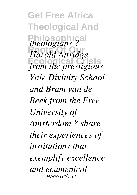**Get Free Africa Theological And** *theologians?* **Roots Of Our** *Harold Attridge* **Ecological Crisis** *from the prestigious Yale Divinity School and Bram van de Beek from the Free University of Amsterdam ? share their experiences of institutions that exemplify excellence and ecumenical* Page 54/194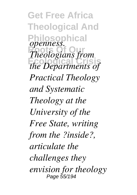**Get Free Africa Theological And Philosophical Roots Of Our** *Theologians from* **Ecological Crisis** *the Departments of openness. Practical Theology and Systematic Theology at the University of the Free State, writing from the ?inside?, articulate the challenges they envision for theology* Page 55/194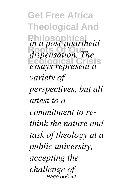**Get Free Africa Theological And Philosophical** *in a post-apartheid* **Roots Of Our** *dispensation. The* **Ecological Crisis** *essays represent a variety of perspectives, but all attest to a commitment to rethink the nature and task of theology at a public university, accepting the challenge of* Page 56/194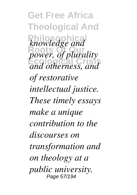**Get Free Africa Theological And Philosophical** *knowledge and* **Roots Of Our** *power, of plurality* **Ecological Crisis** *and otherness, and of restorative intellectual justice. These timely essays make a unique contribution to the discourses on transformation and on theology at a public university.* Page 57/194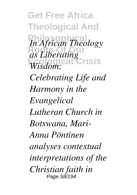**Get Free Africa Theological And** *In African Theology* **Roots Of Our** *as Liberating* **Ecological Crisis** *Wisdom; Celebrating Life and Harmony in the Evangelical Lutheran Church in Botswana, Mari-Anna Pöntinen analyses contextual interpretations of the Christian faith in* Page 58/194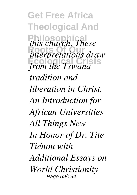**Get Free Africa Theological And**  $this$  *church. These* **Roots Of Our** *interpretations draw* **Ecological Crisis** *from the Tswana tradition and liberation in Christ. An Introduction for African Universities All Things New In Honor of Dr. Tite Tiénou with Additional Essays on World Christianity* Page 59/194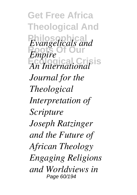**Get Free Africa Theological And Philosophical Roots Of Our Ecological Crisis** *An International Evangelicals and Empire Journal for the Theological Interpretation of Scripture Joseph Ratzinger and the Future of African Theology Engaging Religions and Worldviews in* Page 60/194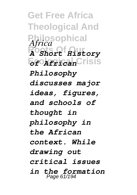**Get Free Africa Theological And Philosophical** *Africa* **Roots Of Our** *A Short History* **Ecological Crisis** *of African Philosophy discusses major ideas, figures, and schools of thought in philosophy in the African context. While drawing out critical issues in the formation* Page 61/194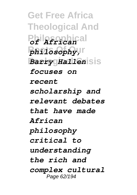**Get Free Africa Theological And Philosophical** *of African*  $ph$ <sup>1</sup> **Barry Hallen**isis *focuses on recent scholarship and relevant debates that have made African philosophy critical to understanding the rich and complex cultural* Page 62/194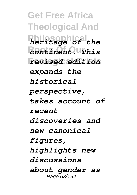**Get Free Africa Theological And Philosophical** *heritage of the* **Roots Of Our** *continent. This* **Ecological Crisis** *revised edition expands the historical perspective, takes account of recent discoveries and new canonical figures, highlights new discussions about gender as* Page 63/194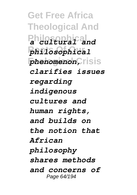**Get Free Africa Theological And Philosophical** *a cultural and* **Roots Of Our** *philosophical*  $phenomenon,$  risis *clarifies issues regarding indigenous cultures and human rights, and builds on the notion that African philosophy shares methods and concerns of* Page 64/194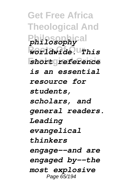**Get Free Africa Theological And Philosophical** *philosophy* **Roots Of Our** *worldwide. This* **Ecological Crisis** *short reference is an essential resource for students, scholars, and general readers. Leading evangelical thinkers engage--and are engaged by--the most explosive* Page 65/194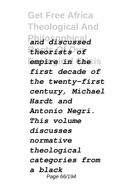**Get Free Africa Theological And Philosophical** *and discussed* **Roots Of Our** *theorists of* **Ecological Crisis** *empire in the first decade of the twenty-first century, Michael Hardt and Antonio Negri. This volume discusses normative theological categories from a black* Page 66/194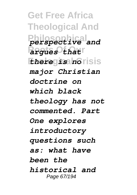**Get Free Africa Theological And Philosophical** *perspective and* **Roots Of Our** *argues that* **Ecological Crisis** *there is no major Christian doctrine on which black theology has not commented. Part One explores introductory questions such as: what have been the historical and* Page 67/194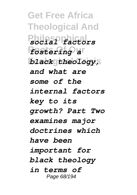**Get Free Africa Theological And Philosophical** *social factors* **Roots Of Our** *fostering a* **Ecological Crisis** *black theology, and what are some of the internal factors key to its growth? Part Two examines major doctrines which have been important for black theology in terms of* Page 68/194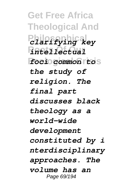**Get Free Africa Theological And Philosophical** *clarifying key* **Roots Of Our** *intellectual* **Ecological Crisis** *foci common to the study of religion. The final part discusses black theology as a world-wide development constituted by i nterdisciplinary approaches. The volume has an* Page 69/194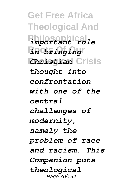**Get Free Africa Theological And Philosophical** *important role* **Roots Of Our** *in bringing* **Ecological Crisis** *Christian thought into confrontation with one of the central challenges of modernity, namely the problem of race and racism. This Companion puts theological* Page 70/194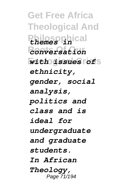**Get Free Africa Theological And Philosophical** *themes in* **Roots Of Our** *conversation* **Ecological Crisis** *with issues of ethnicity, gender, social analysis, politics and class and is ideal for undergraduate and graduate students. In African Theology,* Page 71/194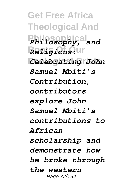**Get Free Africa Theological And Philosophical** *Philosophy, and*  $\overline{R}$ *e <i>Religions*: Ur **Ecological Crisis** *Celebrating John Samuel Mbiti's Contribution, contributors explore John Samuel Mbiti's contributions to African scholarship and demonstrate how he broke through the western* Page 72/194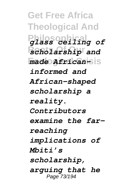**Get Free Africa Theological And Philosophical** *glass ceiling of* **Roots Of Our** *scholarship and*  $m$ ade *African-*sis *informed and African-shaped scholarship a reality. Contributors examine the farreaching implications of Mbiti's scholarship, arguing that he* Page 73/194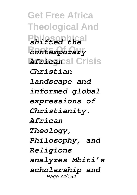**Get Free Africa Theological And Philosophical** *shifted the* **Roots Of Our** *contemporary* **Ecological Crisis** *African Christian landscape and informed global expressions of Christianity. African Theology, Philosophy, and Religions analyzes Mbiti's scholarship and* Page 74/194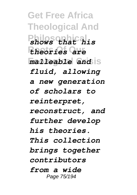**Get Free Africa Theological And Philosophical** *shows that his* **Roots Of Our** *theories are malleable and* is *fluid, allowing a new generation of scholars to reinterpret, reconstruct, and further develop his theories. This collection brings together contributors from a wide* Page 75/194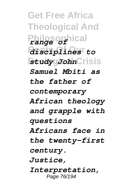**Get Free Africa Theological And Philosophical** *range of* **Roots Of Our** *disciplines to* **Ecological Crisis** *study John Samuel Mbiti as the father of contemporary African theology and grapple with questions Africans face in the twenty-first century. Justice, Interpretation,* Page 76/194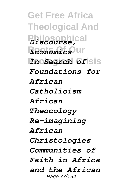**Get Free Africa Theological And Philosophical** *Discourse,* **Roots Of Our** *Economics* **Ecological Crisis** *In Search of Foundations for African Catholicism African Theocology Re-imagining African Christologies Communities of Faith in Africa and the African* Page 77/194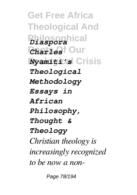**Get Free Africa Theological And Philosophical** *Diaspora Charlesf Our* **Ecological Crisis** *Nyamiti's Theological Methodology Essays in African Philosophy, Thought & Theology Christian theology is increasingly recognized to be now a non-*

Page 78/194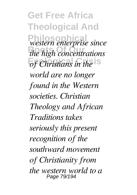**Get Free Africa Theological And Philosophical** *western enterprise since*  $the high concentrations$ *of Christians in the world are no longer found in the Western societies. Christian Theology and African Traditions takes seriously this present recognition of the southward movement of Christianity from the western world to a* Page 79/194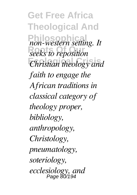**Get Free Africa Theological And**  $p$ <sub>non-western setting. It</sub> **Roots Of Our** *seeks to reposition* **Ecological Crisis** *Christian theology and faith to engage the African traditions in classical category of theology proper, bibliology, anthropology, Christology, pneumatology, soteriology, ecclesiology, and* Page 80/194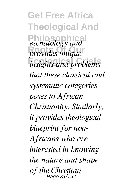**Get Free Africa Theological And**  $\emph{exchatology}$  and *provides unique* **Ecological Crisis** *insights and problems that these classical and systematic categories poses to African Christianity. Similarly, it provides theological blueprint for non-Africans who are interested in knowing the nature and shape of the Christian* Page 81/194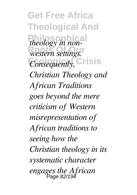**Get Free Africa Theological And** *theology in non* $w$ *estern settings.*  $Consequently,$  Crisis *Christian Theology and African Traditions goes beyond the mere criticism of Western misrepresentation of African traditions to seeing how the Christian theology in its systematic character engages the African* Page 82/194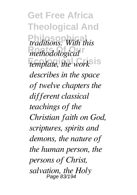**Get Free Africa Theological And Philosophical** *traditions. With this*  $R$ *methodological*  $t$ *emplate, the work*<sup>sis</sup> *describes in the space of twelve chapters the different classical teachings of the Christian faith on God, scriptures, spirits and demons, the nature of the human person, the persons of Christ, salvation, the Holy* Page 83/194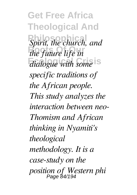**Get Free Africa Theological And Spirit, the church, and** *the future life in*  $dialogue with some <sup>1</sup> s$ *specific traditions of the African people. This study analyzes the interaction between neo-Thomism and African thinking in Nyamiti's theological methodology. It is a case-study on the position of Western phi* Page 84/194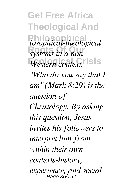**Get Free Africa Theological And**  $logophical-theological$ *systems in a non-* $Western context.$ *"Who do you say that I am" (Mark 8:29) is the question of Christology. By asking this question, Jesus invites his followers to interpret him from within their own contexts-history, experience, and social* Page 85/194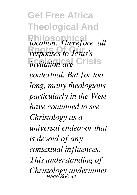**Get Free Africa Theological And** *location. Therefore, all responses to Jesus's invitation are* Crisis *contextual. But for too long, many theologians particularly in the West have continued to see Christology as a universal endeavor that is devoid of any contextual influences. This understanding of Christology undermines* Page 86/194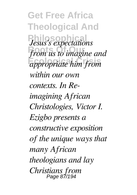**Get Free Africa Theological And Philosophical** *Jesus's expectations* from us to imagine and **Ecological Crisis** *appropriate him from within our own contexts. In Reimagining African Christologies, Victor I. Ezigbo presents a constructive exposition of the unique ways that many African theologians and lay Christians from* Page 87/194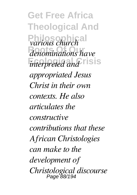**Get Free Africa Theological And**  $\frac{1}{2}$ *various church*<sup>al</sup>  $denominations have$ *interpreted and* risis *appropriated Jesus Christ in their own contexts. He also articulates the constructive contributions that these African Christologies can make to the development of Christological discourse* Page 88/194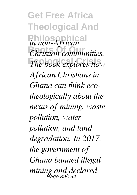**Get Free Africa Theological And**  $\frac{1}{2}$ *in non-African*<sup>a</sup> **Roots Of Our** *Christian communities. The book explores how African Christians in Ghana can think ecotheologically about the nexus of mining, waste pollution, water pollution, and land degradation. In 2017, the government of Ghana banned illegal mining and declared* Page 89/194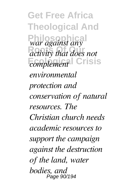**Get Free Africa Theological And Philosophical** *war against any* **Roots Of Our** *activity that does not Crisis environmental protection and conservation of natural resources. The Christian church needs academic resources to support the campaign against the destruction of the land, water bodies, and* Page 90/194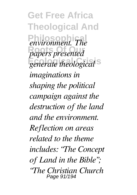**Get Free Africa Theological And**  $P$ *environment. The* **Roots Of Our** *papers presented* **Exercise** theological<sup>S</sup> *imaginations in shaping the political campaign against the destruction of the land and the environment. Reflection on areas related to the theme includes: "The Concept of Land in the Bible"; "The Christian Church* Page 91/194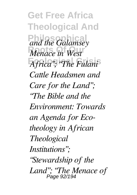**Get Free Africa Theological And Philosophical** *and the Galamsey Menace in West*  $A$ *frica"; "The Fulani*" *Cattle Headsmen and Care for the Land"; "The Bible and the Environment: Towards an Agenda for Ecotheology in African Theological Institutions"; "Stewardship of the Land"; "The Menace of* Page 92/194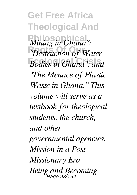**Get Free Africa Theological And** *Mining in Ghana"*; **Roots Of Our** *"Destruction of Water* **Ecological Crisis** *Bodies in Ghana"; and "The Menace of Plastic Waste in Ghana." This volume will serve as a textbook for theological students, the church, and other governmental agencies. Mission in a Post Missionary Era Being and Becoming* Page 93/194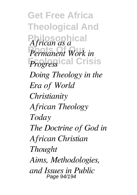**Get Free Africa Theological And Philosophical** *African as a* **Roots Of Our** *Permanent Work in Progress Crisis Doing Theology in the Era of World Christianity African Theology Today The Doctrine of God in African Christian Thought Aims, Methodologies, and Issues in Public* Page 94/194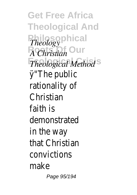**Get Free Africa Theological And Philosophical Roots Our** *Theological Method Theology A Christian* ÿ"The public rationality of Christian faith is demonstrated in the way that Christian convictions make Page 95/194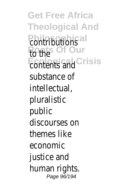**Get Free Africa Theological And Pontributions** Roothe<sup>f</sup> Our **Ecological Crisis** contents and substance of intellectual, pluralistic public discourses on themes like economic justice and human rights. Page 96/194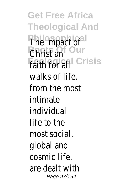**Get Free Africa Theological And Philosophical** The impact of **Roots Of Our** Christian **Fanner Grisis** walks of life, from the most intimate individual life to the most social, global and cosmic life, are dealt with Page 97/194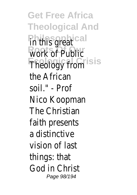**Get Free Africa Theological And Philosophical** in this great **Work of Public Ecological Crisis** Theology from the African soil." - Prof Nico Koopman The Christian faith presents a distinctive vision of last things: that God in Christ Page 98/194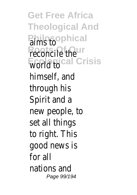**Get Free Africa Theological And Philosophical Roots Of Our** reconcile the **Ecological Crisis** himself, and through his Spirit and a new people, to set all things to right. This good news is for all nations and Page 99/194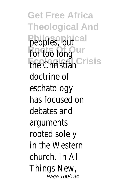**Get Free Africa Theological And Philosophical** peoples, but **Roots Of Our** for too long **Ecological Crisis** the Christian doctrine of eschatology has focused on debates and arguments rooted solely in the Western church. In All Things New, Page 100/194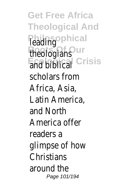**Get Free Africa Theological And Philosophical Roots Of Our** theologians **End Biblical** isis scholars from Africa, Asia, Latin America, and North America offer readers a glimpse of how **Christians** around the Page 101/194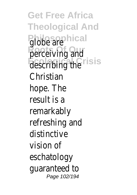**Get Free Africa Theological And Philosophical** globe are perceiving and **Ecological Crisis** describing the Christian hope. The result is a remarkably refreshing and distinctive vision of eschatology guaranteed to Page 102/194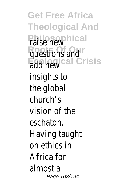**Get Free Africa Theological And Philosophical** raise new **Roots Of Our** questions and **Ecological Crisis** add new insights to the global church's vision of the eschaton. Having taught on ethics in Africa for almost a Page 103/194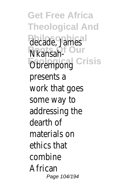**Get Free Africa Theological And Philosophical** decade, James **R**Ransah-**Ecological Crisis** Obrempong presents a work that goes some way to addressing the dearth of materials on ethics that combine African Page 104/194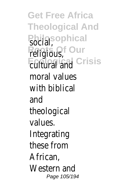**Get Free Africa Theological And Philosophical Religious**, Ecological **Grisis** moral values with biblical and theological values. Integrating these from African, Western and Page 105/194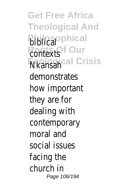**Get Free Africa Theological And Biblical Rontexts Ecological Crisis** Nkansah demonstrates how important they are for dealing with contemporary moral and social issues facing the church in Page 106/194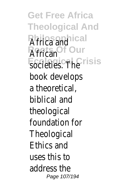**Get Free Africa Theological And** Africa and<sup>al</sup> **African Our Ecological Crisis** societies. The book develops a theoretical, biblical and theological foundation for **Theological** Ethics and uses this to address the Page 107/194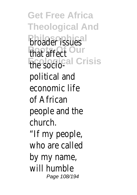**Get Free Africa Theological And Philosophical** broader issues **Roots Of Our** that affect **Ecological Crisis** the sociopolitical and economic life of African people and the church. "If my people, who are called by my name, will humble Page 108/194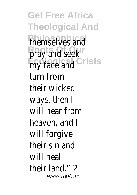**Get Free Africa Theological And** themselves and pray and seek **Ecological Crisis** my face and turn from their wicked ways, then I will hear from heaven, and I will forgive their sin and will heal their land<sup>"</sup> 2 Page 109/194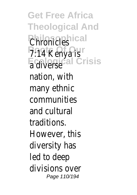**Get Free Africa Theological And Chronicles 7:14 Kenya is Ecological Crisis** a diverse nation, with many ethnic communities and cultural traditions. However, this diversity has led to deep divisions over Page 110/194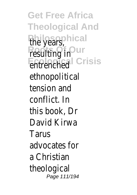**Get Free Africa Theological And** the years, call **Resulting in Our Ecological Crisis** entrenched ethnopolitical tension and conflict. In this book, Dr David Kirwa Tarus advocates for a Christian theological Page 111/194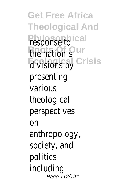**Get Free Africa Theological And Philosophical** response to **Roots Of Our** the nation's **Ecological Crisis** divisions by presenting various theological perspectives on anthropology, society, and politics including Page 112/194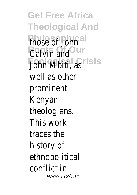**Get Free Africa Theological And** those of John<sup>1</sup> *<u>Calvin and Our</u>* **Ecological Crisis** John Mbiti, as well as other prominent Kenyan theologians. This work traces the history of ethnopolitical conflict in Page 113/194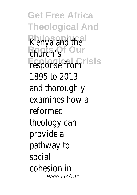**Get Free Africa Theological And Kenya and the Roots Of Our** church's **Fesponse from isis** 1895 to 2013 and thoroughly examines how a reformed theology can provide a pathway to social cohesion in Page 114/194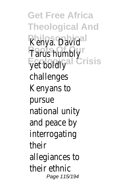**Get Free Africa Theological And** Kenya. David<sup>ral</sup> **Tarus humbly Fet boldlyal Crisis** challenges Kenyans to pursue national unity and peace by interrogating their allegiances to their ethnic Page 115/194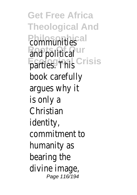**Get Free Africa Theological And** *<u>Communities</u> <u>Roots</u>* **Our Fartles** Fins Crisis book carefully argues why it is only a Christian identity, commitment to humanity as bearing the divine image, Page 116/194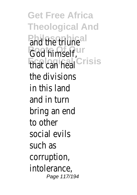**Get Free Africa Theological And** and the triune<sup>l</sup> God himself, ur **Ecological Crisis** that can heal the divisions in this land and in turn bring an end to other social evils such as corruption, intolerance, Page 117/194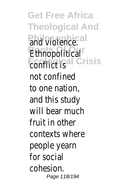**Get Free Africa Theological And** and violence.<sup>al</sup> **Ethnopolitical Econflict is al Crisis** not confined to one nation, and this study will bear much fruit in other contexts where people yearn for social cohesion. Page 118/194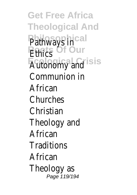**Get Free Africa Theological And** Pathways incal **Ethics** Of Our **Ecological Crisis** Autonomy and Communion in African Churches Christian Theology and African **Traditions** African Theology as Page 119/194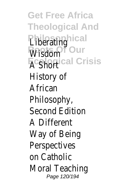**Get Free Africa Theological And Liberatinghical** Wisdom<sup>of</sup> Our **A** Shortical Crisis History of African Philosophy, Second Edition A Different Way of Being Perspectives on Catholic Moral Teaching Page 120/194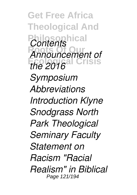**Get Free Africa Theological And** *Contents* **Roots Of Our** *Announcement of* **Ecological Crisis** *the 2016 Symposium Abbreviations Introduction Klyne Snodgrass North Park Theological Seminary Faculty Statement on Racism "Racial Realism" in Biblical* Page 121/194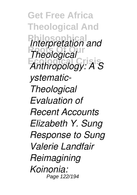**Get Free Africa Theological And** *Interpretation and Theological* **Ecological Crisis** *Anthropology: A S ystematic-Theological Evaluation of Recent Accounts Elizabeth Y. Sung Response to Sung Valerie Landfair Reimagining Koinonia:* Page 122/194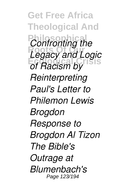**Get Free Africa Theological And** *Confronting the* **Legacy and Logic Ecological Crisis** *of Racism by Reinterpreting Paul's Letter to Philemon Lewis Brogdon Response to Brogdon Al Tizon The Bible's Outrage at Blumenbach's* Page 123/194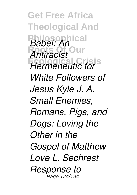**Get Free Africa Theological And Philosophical** *Babel: An* **Roots Of Our** *Antiracist* **Ecological Crisis** *Hermeneutic for White Followers of Jesus Kyle J. A. Small Enemies, Romans, Pigs, and Dogs: Loving the Other in the Gospel of Matthew Love L. Sechrest Response to* Page 124/194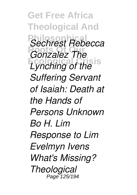**Get Free Africa Theological And Philosophical** *Sechrest Rebecca Gonzalez The* **Ecological Crisis** *Lynching of the Suffering Servant of Isaiah: Death at the Hands of Persons Unknown Bo H. Lim Response to Lim Evelmyn Ivens What's Missing? Theological* Page 125/194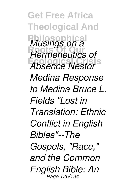**Get Free Africa Theological And Philosophical** *Musings on a* **Roots Of Our** *Hermeneutics of* **Ecological Crisis** *Absence Nestor Medina Response to Medina Bruce L. Fields "Lost in Translation: Ethnic Conflict in English Bibles"--The Gospels, "Race," and the Common English Bible: An* Page 126/194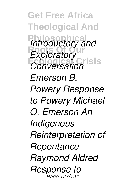**Get Free Africa Theological And** *Introductory and Exploratory* **Ecological Crisis** *Conversation Emerson B. Powery Response to Powery Michael O. Emerson An Indigenous Reinterpretation of Repentance Raymond Aldred Response to* Page 127/194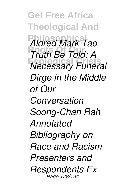**Get Free Africa Theological And Philosophical** *Aldred Mark Tao* **Roots Of Our** *Truth Be Told: A* **Ecological Crisis** *Necessary Funeral Dirge in the Middle of Our Conversation Soong-Chan Rah Annotated Bibliography on Race and Racism Presenters and Respondents Ex* Page 128/194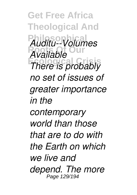**Get Free Africa Theological And Philosophical** *Auditu--Volumes* **Roots Of Our** *Available* **Ecological Crisis** *There is probably no set of issues of greater importance in the contemporary world than those that are to do with the Earth on which we live and depend. The more* Page 129/194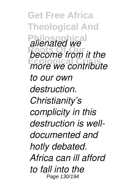**Get Free Africa Theological And** *alienated we* **Roots Of Our** *become from it the* **Ecological Crisis** *more we contribute to our own destruction. Christianity's complicity in this destruction is welldocumented and hotly debated. Africa can ill afford to fall into the* Page 130/194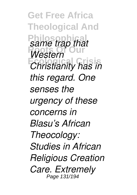**Get Free Africa Theological And Philosophical Roots Of Our Ecological Crisis** *Christianity has in same trap that Western this regard. One senses the urgency of these concerns in Blasu's African Theocology: Studies in African Religious Creation Care. Extremely* Page 131/194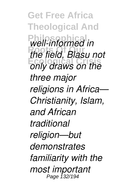**Get Free Africa Theological And Philosophical** *well-informed in* **Roots Of Our** *the field, Blasu not* **Ecological Crisis** *only draws on the three major religions in Africa— Christianity, Islam, and African traditional religion—but demonstrates familiarity with the most important* Page 132/194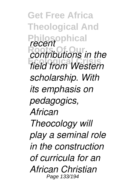**Get Free Africa Theological And Philosophical** *recent* **Roots Of Our** *contributions in the* **Ecological Crisis** *field from Western scholarship. With its emphasis on pedagogics, African Theocology will play a seminal role in the construction of curricula for an African Christian* Page 133/194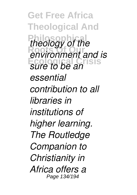**Get Free Africa Theological And** *theology of the* **Roots Of Our** *environment and is* **Ecological Crisis** *sure to be an essential contribution to all libraries in institutions of higher learning. The Routledge Companion to Christianity in Africa offers a* Page 134/194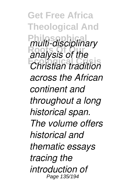**Get Free Africa Theological And Philosophical** *multi-disciplinary* **Roots Of Our** *analysis of the* **Ecological Crisis** *Christian tradition across the African continent and throughout a long historical span. The volume offers historical and thematic essays tracing the introduction of* Page 135/194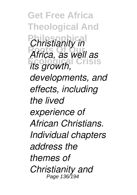**Get Free Africa Theological And** *Christianity in* **Roots Of Our** *Africa, as well as* **Ecological Crisis** *its growth, developments, and effects, including the lived experience of African Christians. Individual chapters address the themes of Christianity and* Page 136/194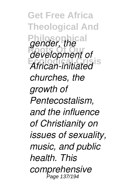**Get Free Africa Theological And Philosophical** *gender, the* **Roots Of Our** *development of* **Ecological Crisis** *African-initiated churches, the growth of Pentecostalism, and the influence of Christianity on issues of sexuality, music, and public health. This comprehensive* Page 137/194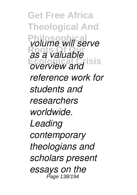**Get Free Africa Theological And Philosophical** *volume will serve* **Roots Of Our** *as a valuable* **Ecological Crisis** *overview and reference work for students and researchers worldwide. Leading contemporary theologians and scholars present essays on the* Page 138/194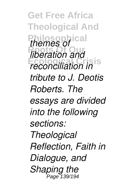**Get Free Africa Theological And Philosophical** *themes of Riberation and* **Ecological Crisis** *reconciliation in tribute to J. Deotis Roberts. The essays are divided into the following sections: Theological Reflection, Faith in Dialogue, and Shaping the* Page 139/194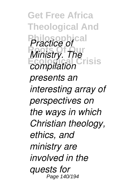**Get Free Africa Theological And Practice of** *Ministry. The* **Ecological Crisis** *compilation presents an interesting array of perspectives on the ways in which Christian theology, ethics, and ministry are involved in the quests for* Page 140/194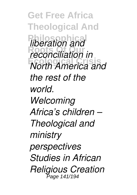**Get Free Africa Theological And** *liberation and* **Roots Of Our** *reconciliation in* **Ecological Crisis** *North America and the rest of the world. Welcoming Africa's children – Theological and ministry perspectives Studies in African Religious Creation* Page 141/194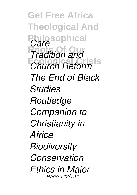**Get Free Africa Theological And Philosophical** *Care Tradition and* **Ecological Crisis** *Church Reform The End of Black Studies Routledge Companion to Christianity in Africa Biodiversity Conservation Ethics in Major* Page 142/194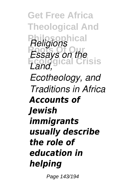**Get Free Africa Theological And Philosophical** *Religions Essays on the* **Ecological Crisis** *Land, Ecotheology, and Traditions in Africa Accounts of Jewish immigrants usually describe the role of education in helping*

Page 143/194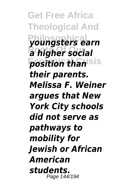**Get Free Africa Theological And Philosophical** *youngsters earn* **Roots Of Our** *a higher social position than***isis** *their parents. Melissa F. Weiner argues that New York City schools did not serve as pathways to mobility for Jewish or African American students.* Page 144/194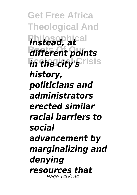**Get Free Africa Theological And Philosophical** *Instead, at* **Roots Of Our** *different points in the city's* risis *history, politicians and administrators erected similar racial barriers to social advancement by marginalizing and denying resources that* Page 145/194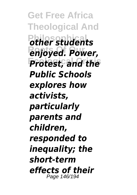**Get Free Africa Theological And Philosophical** *other students* **Roots Of Our** *enjoyed. Power,* **Ecological Crisis** *Protest, and the Public Schools explores how activists, particularly parents and children, responded to inequality; the short-term effects of their* Page 146/194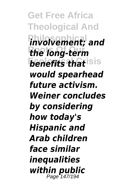**Get Free Africa Theological And Philosophical** *involvement; and* **Roots Of Our** *the long-term benefits that* **is is** *would spearhead future activism. Weiner concludes by considering how today's Hispanic and Arab children face similar inequalities within public* Page 147/194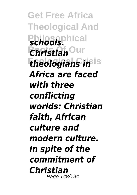**Get Free Africa Theological And** *Schools.* **Roots Of Our** *Christian theologians in***isis** *Africa are faced with three conflicting worlds: Christian faith, African culture and modern culture. In spite of the commitment of Christian* Page 148/194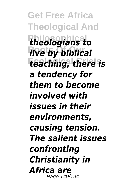**Get Free Africa Theological And Philosophical** *theologians to <u>live</u> by biblical* **Ecological Crisis** *teaching, there is a tendency for them to become involved with issues in their environments, causing tension. The salient issues confronting Christianity in Africa are* Page 149/194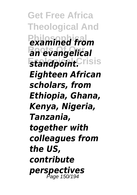**Get Free Africa Theological And**  $P$ *examined from* **Roots Of Our** *an evangelical*  $$ *Eighteen African scholars, from Ethiopia, Ghana, Kenya, Nigeria, Tanzania, together with colleagues from the US, contribute perspectives* Page 150/194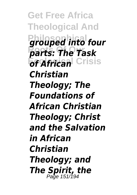**Get Free Africa Theological And Philosophical into four Roots Of Our** *parts: The Task <u>Gf African</u>* Crisis *Christian Theology; The Foundations of African Christian Theology; Christ and the Salvation in African Christian Theology; and The Spirit, the* Page 151/194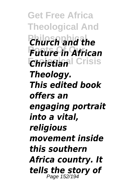**Get Free Africa Theological And** *Church and the* **Roots Of Our** *Future in African Christian***l Crisis** *Theology. This edited book offers an engaging portrait into a vital, religious movement inside this southern Africa country. It tells the story of* Page 152/194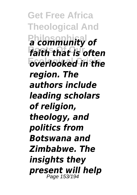**Get Free Africa Theological And Philosophical** *a community of* **Roots Of Our** *faith that is often* **Ecological Crisis** *overlooked in the region. The authors include leading scholars of religion, theology, and politics from Botswana and Zimbabwe. The insights they present will help* Page 153/194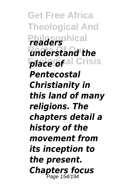**Get Free Africa Theological And Philosophical** *readers <u>understand</u>* the *place of* al Crisis *Pentecostal Christianity in this land of many religions. The chapters detail a history of the movement from its inception to the present. Chapters focus* Page 154/194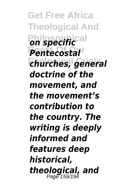**Get Free Africa Theological And Philosophical Roots Of Our** *Pentecostal* **Ecological Crisis** *churches, general doctrine of the movement, and the movement's contribution to the country. The writing is deeply informed and features deep historical, theological, and* Page 155/194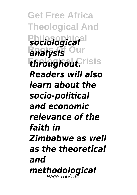**Get Free Africa Theological And Philosophical** *sociological* **Roatysis** Our *throughout.risis Readers will also learn about the socio-political and economic relevance of the faith in Zimbabwe as well as the theoretical and methodological* Page 156/194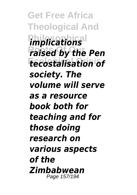**Get Free Africa Theological And** *implications <u>Raised</u> by the Pen* **Ecological Crisis** *tecostalisation of society. The volume will serve as a resource book both for teaching and for those doing research on various aspects of the Zimbabwean* Page 157/194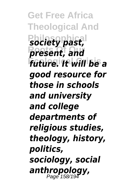**Get Free Africa Theological And Philosophical** *society past,* **Roots Of Our** *present, and* **Ecological Crisis** *future. It will be a good resource for those in schools and university and college departments of religious studies, theology, history, politics, sociology, social anthropology,* Page 158/194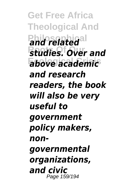**Get Free Africa Theological And** and related<sup>al</sup> **Roots Of Our** *studies. Over and* **Ecological Crisis** *above academic and research readers, the book will also be very useful to government policy makers, nongovernmental organizations, and civic* Page 159/194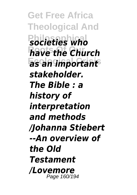**Get Free Africa Theological And Philosophical** *societies who* **Roots Of Our** *have the Church* **Ecological Crisis** *as an important stakeholder. The Bible : a history of interpretation and methods /Johanna Stiebert --An overview of the Old Testament /Lovemore* Page 160/194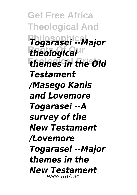**Get Free Africa Theological And Philosophical** *Togarasei --Major* **Roots Of Our** *theological* **Ecological Crisis** *themes in the Old Testament /Masego Kanis and Lovemore Togarasei --A survey of the New Testament /Lovemore Togarasei --Major themes in the New Testament* Page 161/194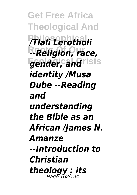**Get Free Africa Theological And Philosophical** */Tlali Lerotholi* **Roots Of Our** *--Religion, race,* **gender, and**risis *identity /Musa Dube --Reading and understanding the Bible as an African /James N. Amanze --Introduction to Christian theology : its* Page 162/194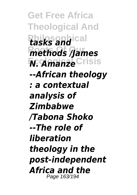**Get Free Africa Theological And Philosophical** *tasks and* **Roots Of Our** *methods /James M. AmanzeCrisis --African theology : a contextual analysis of Zimbabwe /Tabona Shoko --The role of liberation theology in the post-independent Africa and the* Page 163/194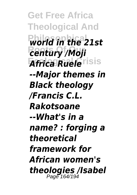**Get Free Africa Theological And Philosophical** *world in the 21st* **Roots Of Our** *century /Moji Africa Ruele*risis *--Major themes in Black theology /Francis C.L. Rakotsoane --What's in a name? : forging a theoretical framework for African women's theologies /Isabel* Page 164/194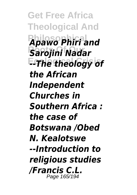**Get Free Africa Theological And Philosophical** *Apawo Phiri and* **Roots Of Our** *Sarojini Nadar* **E-The theology of** *the African Independent Churches in Southern Africa : the case of Botswana /Obed N. Kealotswe --Introduction to religious studies /Francis C.L.* Page 165/194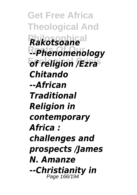**Get Free Africa Theological And Philosophical** *Rakotsoane* **Roots Of Our** *--Phenomenology* **Ecological Crisis** *of religion /Ezra Chitando --African Traditional Religion in contemporary Africa : challenges and prospects /James N. Amanze --Christianity in* Page 166/194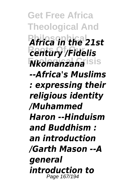**Get Free Africa Theological And Philosophical** *Africa in the 21st* **Roots Of Our** *century /Fidelis* **Ecological Crisis** *Nkomanzana --Africa's Muslims : expressing their religious identity /Muhammed Haron --Hinduism and Buddhism : an introduction /Garth Mason --A general introduction to* Page 167/194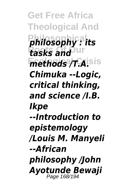**Get Free Africa Theological And Philosophical** *philosophy : its* **Roots Of Our** *tasks and*  $methods/T.A$ <sup>Sisis</sup> *Chimuka --Logic, critical thinking, and science /I.B. Ikpe --Introduction to epistemology /Louis M. Manyeli --African philosophy /John Ayotunde Bewaji* Page 168/194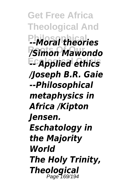**Get Free Africa Theological And Philosophical** *--Moral theories* **Roots Of Our** */Simon Mawondo* **Ecological Crisis** *-- Applied ethics /Joseph B.R. Gaie --Philosophical metaphysics in Africa /Kipton Jensen. Eschatology in the Majority World The Holy Trinity, Theological* Page 169/194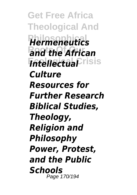**Get Free Africa Theological And Philosophical** *Hermeneutics* **Roots Of Our** *and the African Intellectual*Frisis *Culture Resources for Further Research Biblical Studies, Theology, Religion and Philosophy Power, Protest, and the Public Schools* Page 170/194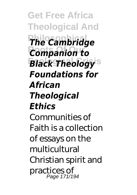**Get Free Africa Theological And Philosophical** *The Cambridge* **Roots Of Our** *Companion to* **Black Theology**<sup>s</sup> *Foundations for African Theological Ethics* Communities of Faith is a collection of essays on the multicultural Christian spirit and practices of Page 171/194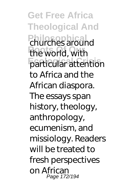**Get Free Africa Theological And Philosophical** churches around the world, with **Ecological Crisis** particular attention to Africa and the African diaspora. The essays span history, theology, anthropology, ecumenism, and missiology. Readers will be treated to fresh perspectives on African Page 172/194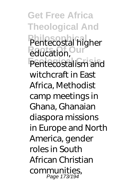**Get Free Africa Theological And** Pentecostal higher **Reducation, Our** Pentecostalism and witchcraft in East Africa, Methodist camp meetings in Ghana, Ghanaian diaspora missions in Europe and North America, gender roles in South African Christian communities, Page 173/194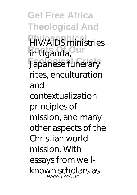**Get Free Africa Theological And Phy/AIDS** ministries **Roots Of Our** in Uganda, **Ecological Crisis** Japanese funerary rites, enculturation and contextualization principles of mission, and many other aspects of the Christian world mission. With essays from wellknown scholars as Page 174/194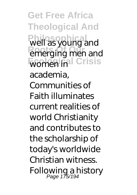**Get Free Africa Theological And Philosophical** well as young and **Roots Of Our** emerging men and **Women inal Crisis** academia, Communities of Faith illuminates current realities of world Christianity and contributes to the scholarship of today's worldwide Christian witness. Following a history Page 175/194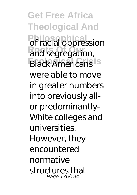**Get Free Africa Theological And Philosophical** of racial oppression and segregation, **Black Americans** is were able to move in greater numbers into previously allor predominantly-White colleges and universities. However, they encountered normative structures that Page 176/194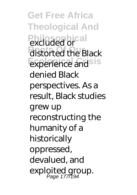**Get Free Africa Theological And Philosophical** excluded or distorted the Black **Experience and sis** denied Black perspectives. As a result, Black studies grew up reconstructing the humanity of a historically oppressed, devalued, and exploited group.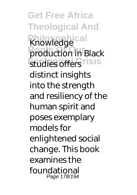**Get Free Africa Theological And Knowledge Production in Black Etudies offers** risis distinct insights into the strength and resiliency of the human spirit and poses exemplary models for enlightened social change. This book examines the foundational Page 178/194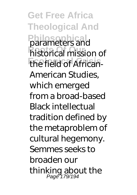**Get Free Africa Theological And Philosophical** parameters and **historical mission of The field of African-**American Studies, which emerged from a broad-based Black intellectual tradition defined by the metaproblem of cultural hegemony. Semmes seeks to broaden our thinking about the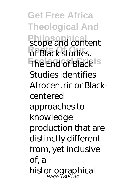**Get Free Africa Theological And Philosophical** scope and content of Black studies. **The End of Black is** Studies identifies Afrocentric or Blackcentered approaches to knowledge production that are distinctly different from, yet inclusive of, a historiographical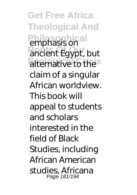**Get Free Africa Theological And Philosophical** emphasis on **Roots Of Our** ancient Egypt, but alternative to the<sup>s</sup> claim of a singular African worldview. This book will appeal to students and scholars interested in the field of Black Studies, including African American studies, Africana Page 181/194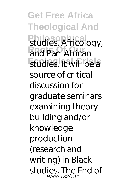**Get Free Africa Theological And Philosophical** studies, Africology, and Pan-African **Ecological Crisis** studies. It will be a source of critical discussion for graduate seminars examining theory building and/or knowledge production (research and writing) in Black studies. The End of Page 182/194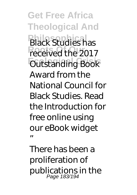**Get Free Africa Theological And Phack Studies has** received the 2017 **Ecological Crisis** Outstanding Book Award from the National Council for Black Studies. Read the Introduction for free online using our eBook widget "

There has been a proliferation of publications in the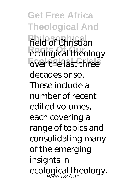**Get Free Africa Theological And Field of Christian Roofs Roofs Roofs Roofs Roofs Roofs Roofs Roofs Roofs Roofs Roofs Roofs Roofs Roofs Roofs Roofs Roofs Roofs Roofs Roofs Roofs Roofs Roofs Roofs Roofs Roofs Roofs Roofs E**over the last three decades or so. These include a number of recent edited volumes, each covering a range of topics and consolidating many of the emerging **insights in** ecological theology.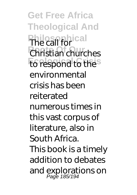**Get Free Africa Theological And Philosophical** The call for **Roots Of Our** Christian churches **to respond to thes** environmental crisis has been reiterated numerous times in this vast corpus of literature, also in South Africa. This book is a timely addition to debates and explorations on Page 185/194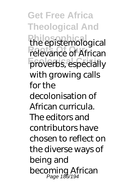**Get Free Africa Theological And Philosophical** the epistemological **Relevance of African** proverbs, especially with growing calls for the decolonisation of African curricula. The editors and contributors have chosen to reflect on the diverse ways of being and becoming African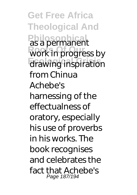**Get Free Africa Theological And Philosophical** as a permanent work in progress by **Ecological Crisis** drawing inspiration from Chinua Achebe's harnessing of the effectualness of oratory, especially his use of proverbs in his works. The book recognises and celebrates the fact that Achebe's Page 187/194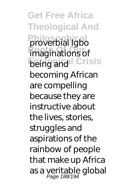**Get Free Africa Theological And Philosophical** proverbial Igbo **imaginations of** *<u>Being and Crisis</u>* becoming African are compelling because they are instructive about the lives, stories, struggles and aspirations of the rainbow of people that make up Africa as a veritable global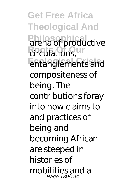**Get Free Africa Theological And Philosophical** arena of productive **Roots** Circulations, Un **Ecological Crisis** entanglements and compositeness of being. The contributions foray into how claims to and practices of being and becoming African are steeped in histories of mobilities and a Page 189/194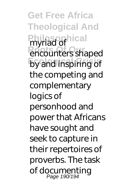**Get Free Africa Theological And Philosophical** myriad of **Roots Of Our** encounters shaped **Ecological Crisis** by and inspiring of the competing and complementary logics of personhood and power that Africans have sought and seek to capture in their repertoires of proverbs. The task of documenting Page 190/194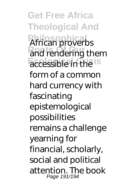**Get Free Africa Theological And Philosophical** African proverbs and rendering them accessible in the is form of a common hard currency with fascinating epistemological possibilities remains a challenge yearning for financial, scholarly, social and political attention. The book Page 191/194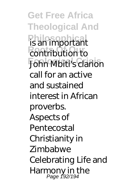**Get Free Africa Theological And Philosophical** is an important *<u>Contribution</u>* **Ecological Crisis** John Mbiti's clarion call for an active and sustained interest in African proverbs. Aspects of **Pentecostal** Christianity in **Zimbabwe** Celebrating Life and Harmony in the<br>Page 192/194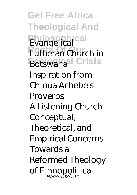**Get Free Africa Theological And Philosophical** Evangelical *Rutheran Church in* **Botswanal Crisis** Inspiration from Chinua Achebe's **Proverbs** A Listening Church Conceptual, Theoretical, and Empirical Concerns Towards a Reformed Theology of Ethnopolitical Page 193/194